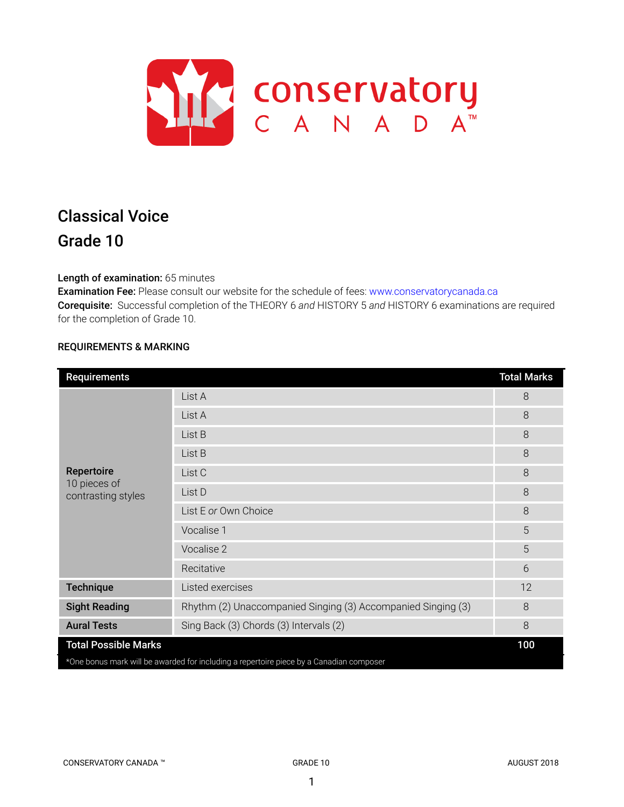

# Classical Voice Grade 10

# Length of examination: 65 minutes

Examination Fee: Please consult our website for the schedule of fees: www.conservatorycanada.ca Corequisite: Successful completion of the THEORY 6 *and* HISTORY 5 *and* HISTORY 6 examinations are required for the completion of Grade 10.

# REQUIREMENTS & MARKING

| <b>Requirements</b>                                                                     |                                                              | <b>Total Marks</b> |  |
|-----------------------------------------------------------------------------------------|--------------------------------------------------------------|--------------------|--|
| Repertoire<br>10 pieces of<br>contrasting styles                                        | List A                                                       | 8                  |  |
|                                                                                         | List A                                                       | 8                  |  |
|                                                                                         | List B                                                       | 8                  |  |
|                                                                                         | List B                                                       | 8                  |  |
|                                                                                         | List C                                                       | 8                  |  |
|                                                                                         | List D                                                       | 8                  |  |
|                                                                                         | List E or Own Choice                                         | 8                  |  |
|                                                                                         | Vocalise 1                                                   | 5                  |  |
|                                                                                         | Vocalise 2                                                   | 5                  |  |
|                                                                                         | Recitative                                                   | 6                  |  |
| <b>Technique</b>                                                                        | Listed exercises                                             | 12                 |  |
| <b>Sight Reading</b>                                                                    | Rhythm (2) Unaccompanied Singing (3) Accompanied Singing (3) | 8                  |  |
| <b>Aural Tests</b>                                                                      | Sing Back (3) Chords (3) Intervals (2)                       | 8                  |  |
| <b>Total Possible Marks</b>                                                             |                                                              |                    |  |
| *One bonus mark will be awarded for including a repertoire piece by a Canadian composer |                                                              |                    |  |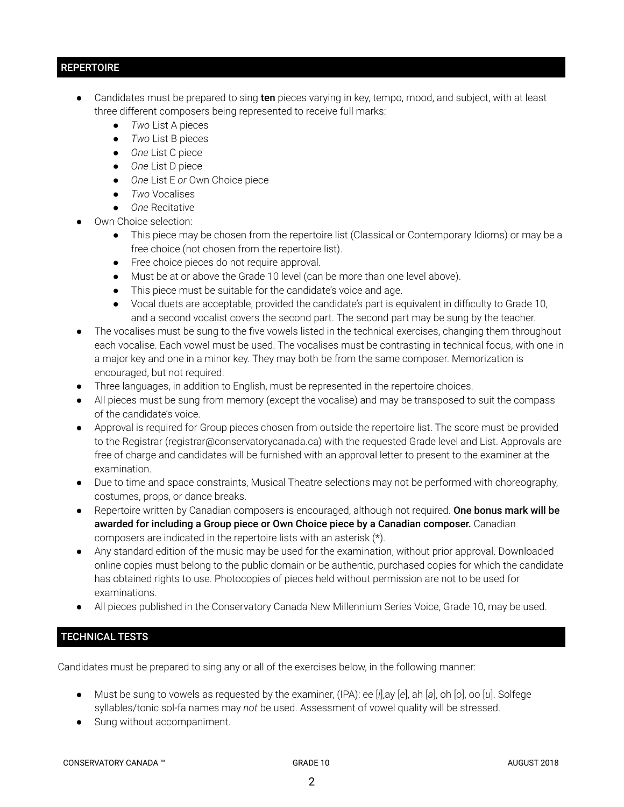# **REPERTOIRE**

- Candidates must be prepared to sing ten pieces varying in key, tempo, mood, and subject, with at least three different composers being represented to receive full marks:
	- *Two* List A pieces
	- *Two* List B pieces
	- *One* List C piece
	- *One* List D piece
	- *One* List E *or* Own Choice piece
	- *Two* Vocalises
	- *One* Recitative
- Own Choice selection:
	- This piece may be chosen from the repertoire list (Classical or Contemporary Idioms) or may be a free choice (not chosen from the repertoire list).
	- Free choice pieces do not require approval.
	- Must be at or above the Grade 10 level (can be more than one level above).
	- This piece must be suitable for the candidate's voice and age.
	- Vocal duets are acceptable, provided the candidate's part is equivalent in difficulty to Grade 10, and a second vocalist covers the second part. The second part may be sung by the teacher.
- The vocalises must be sung to the five vowels listed in the technical exercises, changing them throughout each vocalise. Each vowel must be used. The vocalises must be contrasting in technical focus, with one in a major key and one in a minor key. They may both be from the same composer. Memorization is encouraged, but not required.
- Three languages, in addition to English, must be represented in the repertoire choices.
- All pieces must be sung from memory (except the vocalise) and may be transposed to suit the compass of the candidate's voice.
- Approval is required for Group pieces chosen from outside the repertoire list. The score must be provided to the Registrar (registrar@conservatorycanada.ca) with the requested Grade level and List. Approvals are free of charge and candidates will be furnished with an approval letter to present to the examiner at the examination.
- Due to time and space constraints, Musical Theatre selections may not be performed with choreography, costumes, props, or dance breaks.
- Repertoire written by Canadian composers is encouraged, although not required. One bonus mark will be awarded for including a Group piece or Own Choice piece by a Canadian composer. Canadian composers are indicated in the repertoire lists with an asterisk (\*).
- Any standard edition of the music may be used for the examination, without prior approval. Downloaded online copies must belong to the public domain or be authentic, purchased copies for which the candidate has obtained rights to use. Photocopies of pieces held without permission are not to be used for examinations.
- All pieces published in the Conservatory Canada New Millennium Series Voice, Grade 10, may be used.

# TECHNICAL TESTS

Candidates must be prepared to sing any or all of the exercises below, in the following manner:

- Must be sung to vowels as requested by the examiner, (IPA): ee [*i*],ay [*e*], ah [*a*], oh [*o*], oo [*u*]. Solfege syllables/tonic sol-fa names may *not* be used. Assessment of vowel quality will be stressed.
- Sung without accompaniment.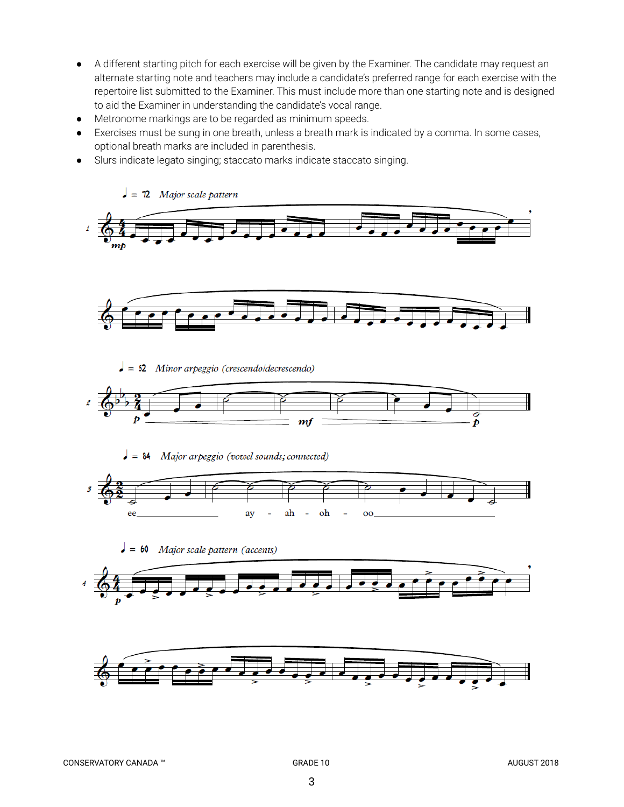- A different starting pitch for each exercise will be given by the Examiner. The candidate may request an alternate starting note and teachers may include a candidate's preferred range for each exercise with the repertoire list submitted to the Examiner. This must include more than one starting note and is designed to aid the Examiner in understanding the candidate's vocal range.
- Metronome markings are to be regarded as minimum speeds.
- Exercises must be sung in one breath, unless a breath mark is indicated by a comma. In some cases, optional breath marks are included in parenthesis.
- Slurs indicate legato singing; staccato marks indicate staccato singing.



Major scale pattern (accents)  $\bullet = 60$ 



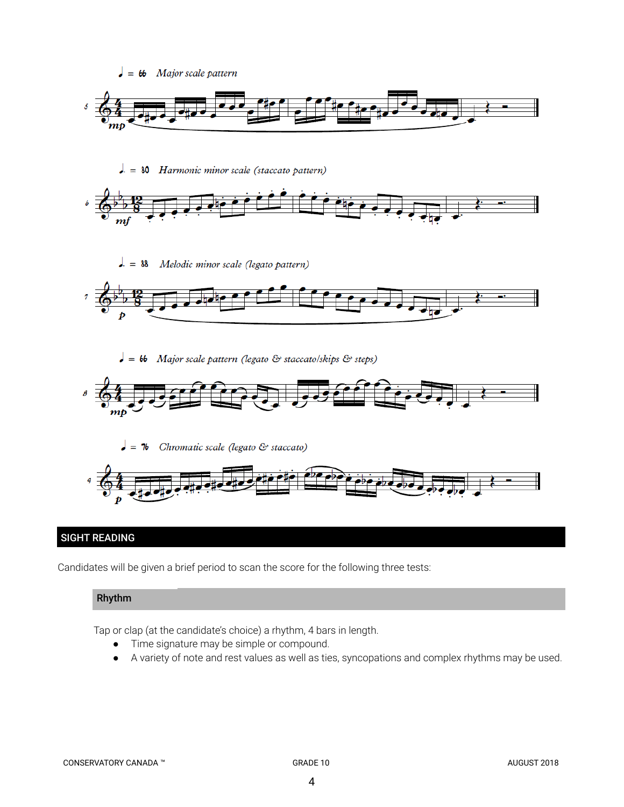

# SIGHT READING

Candidates will be given a brief period to scan the score for the following three tests:

# Rhythm

Tap or clap (at the candidate's choice) a rhythm, 4 bars in length.

- Time signature may be simple or compound.
- A variety of note and rest values as well as ties, syncopations and complex rhythms may be used.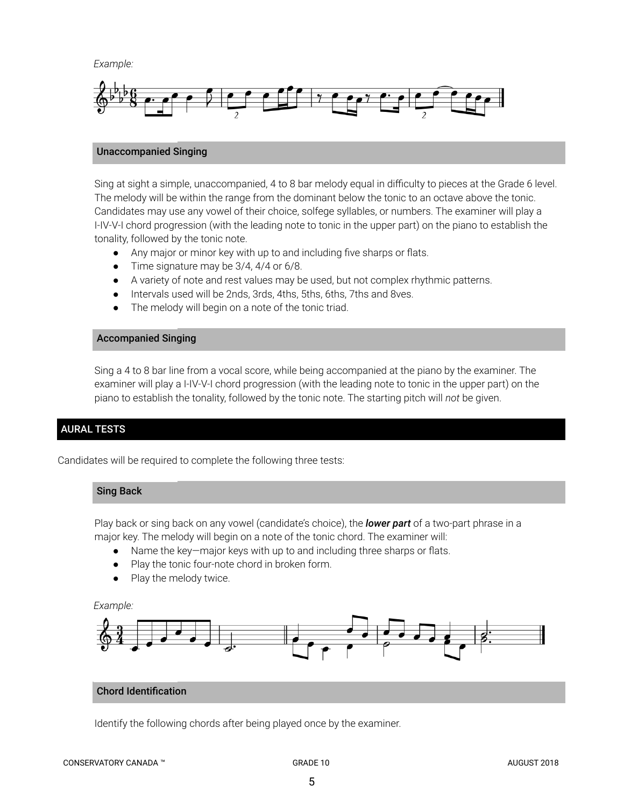*Example:*



#### Unaccompanied Singing

Sing at sight a simple, unaccompanied, 4 to 8 bar melody equal in difficulty to pieces at the Grade 6 level. The melody will be within the range from the dominant below the tonic to an octave above the tonic. Candidates may use any vowel of their choice, solfege syllables, or numbers. The examiner will play a I-IV-V-I chord progression (with the leading note to tonic in the upper part) on the piano to establish the tonality, followed by the tonic note.

- *●* Any major or minor key with up to and including five sharps or flats.
- *●* Time signature may be 3/4, 4/4 or 6/8.
- A variety of note and rest values may be used, but not complex rhythmic patterns.
- Intervals used will be 2nds, 3rds, 4ths, 5ths, 6ths, 7ths and 8ves.
- The melody will begin on a note of the tonic triad.

#### Accompanied Singing

Sing a 4 to 8 bar line from a vocal score, while being accompanied at the piano by the examiner. The examiner will play a I-IV-V-I chord progression (with the leading note to tonic in the upper part) on the piano to establish the tonality, followed by the tonic note. The starting pitch will *not* be given.

#### AURAL TESTS

Candidates will be required to complete the following three tests:

#### Sing Back

Play back or sing back on any vowel (candidate's choice), the *lower part* of a two-part phrase in a major key. The melody will begin on a note of the tonic chord. The examiner will:

- Name the key—major keys with up to and including three sharps or flats.
- Play the tonic four-note chord in broken form.
- Play the melody twice.

#### *Example:*



## Chord Identification

Identify the following chords after being played once by the examiner.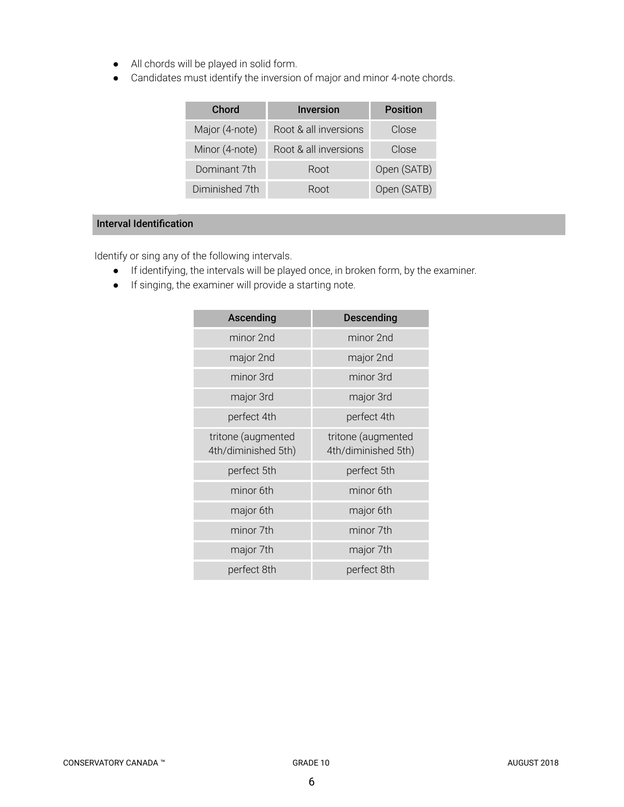- All chords will be played in solid form.
- Candidates must identify the inversion of major and minor 4-note chords.

| Chord          | <b>Inversion</b>      | <b>Position</b> |
|----------------|-----------------------|-----------------|
| Major (4-note) | Root & all inversions | Close           |
| Minor (4-note) | Root & all inversions | Close           |
| Dominant 7th   | Root                  | Open (SATB)     |
| Diminished 7th | Root                  | Open (SATB)     |

# Interval Identification

Identify or sing any of the following intervals.

- If identifying, the intervals will be played once, in broken form, by the examiner.
- If singing, the examiner will provide a starting note.

| Ascending                                 | <b>Descending</b>                         |  |
|-------------------------------------------|-------------------------------------------|--|
| minor 2nd                                 | minor 2nd                                 |  |
| major 2nd                                 | major 2nd                                 |  |
| minor 3rd                                 | minor 3rd                                 |  |
| major 3rd                                 | major 3rd                                 |  |
| perfect 4th                               | perfect 4th                               |  |
| tritone (augmented<br>4th/diminished 5th) | tritone (augmented<br>4th/diminished 5th) |  |
| perfect 5th                               | perfect 5th                               |  |
| minor 6th                                 | minor 6th                                 |  |
| major 6th                                 | major 6th                                 |  |
| minor 7th                                 | minor 7th                                 |  |
| major 7th                                 | major 7th                                 |  |
| perfect 8th                               | perfect 8th                               |  |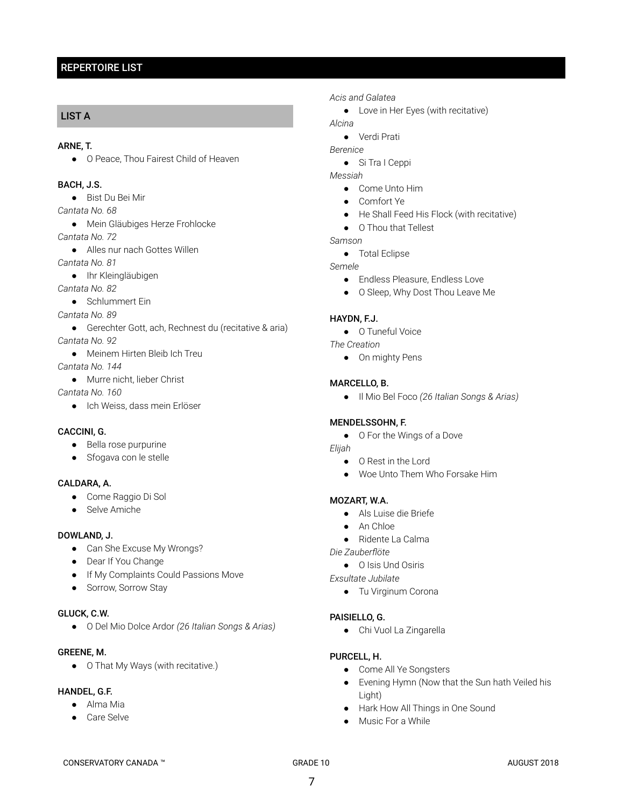# REPERTOIRE LIST

# LIST A

#### ARNE, T.

● O Peace, Thou Fairest Child of Heaven

# BACH, J.S.

● Bist Du Bei Mir

*Cantata No. 68*

● Mein Gläubiges Herze Frohlocke

*Cantata No. 72*

● Alles nur nach Gottes Willen

*Cantata No. 81*

● Ihr Kleingläubigen

*Cantata No. 82*

- Schlummert Ein
- *Cantata No. 89*
- Gerechter Gott, ach, Rechnest du (recitative & aria) *Cantata No. 92*
- Meinem Hirten Bleib Ich Treu
- *Cantata No. 144*
	- Murre nicht, lieber Christ

*Cantata No. 160*

● Ich Weiss, dass mein Erlöser

## CACCINI, G.

- Bella rose purpurine
- Sfogava con le stelle

#### CALDARA, A.

- Come Raggio Di Sol
- Selve Amiche

#### DOWLAND, J.

- Can She Excuse My Wrongs?
- Dear If You Change
- If My Complaints Could Passions Move
- Sorrow, Sorrow Stay

#### GLUCK, C.W.

● O Del Mio Dolce Ardor *(26 Italian Songs & Arias)*

## GREENE, M.

● O That My Ways (with recitative.)

#### HANDEL, G.F.

- Alma Mia
- Care Selve

#### *Acis and Galatea*

● Love in Her Eyes (with recitative)

*Alcina*

- Verdi Prati
- *Berenice*
	- Si Tra I Ceppi

*Messiah*

- Come Unto Him
- Comfort Ye
- He Shall Feed His Flock (with recitative)
- O Thou that Tellest

*Samson*

● Total Eclipse

*Semele*

- Endless Pleasure, Endless Love
- O Sleep, Why Dost Thou Leave Me

## HAYDN, F.J.

● O Tuneful Voice

*The Creation*

● On mighty Pens

#### MARCELLO, B.

● Il Mio Bel Foco *(26 Italian Songs & Arias)*

#### MENDELSSOHN, F.

- O For the Wings of a Dove
- *Elijah*
	- O Rest in the Lord
	- Woe Unto Them Who Forsake Him

#### MOZART, W.A.

- Als Luise die Briefe
- An Chloe
- Ridente La Calma
- *Die Zauberflöte*
	- O Isis Und Osiris

*Exsultate Jubilate*

● Tu Virginum Corona

#### PAISIELLO, G.

● Chi Vuol La Zingarella

#### PURCELL, H.

- Come All Ye Songsters
- Evening Hymn (Now that the Sun hath Veiled his Light)
- Hark How All Things in One Sound
- Music For a While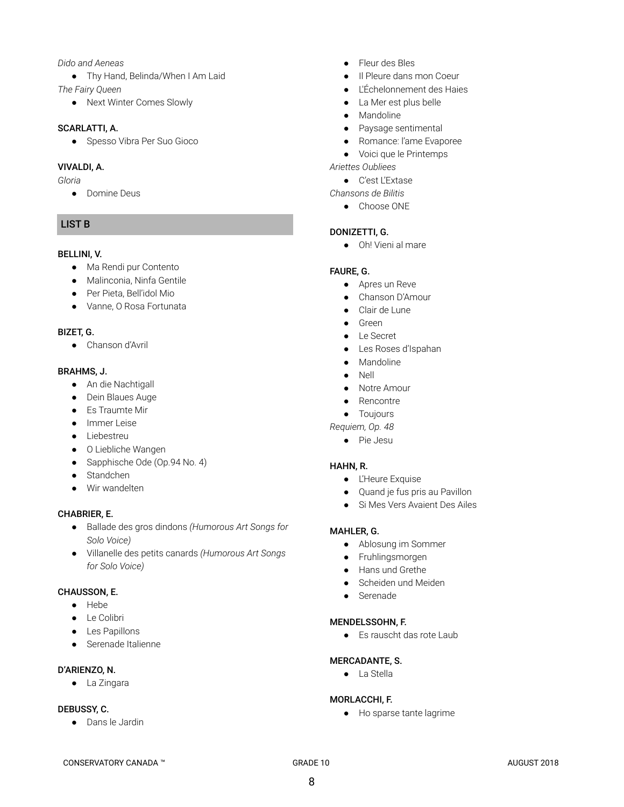#### *Dido and Aeneas*

- Thy Hand, Belinda/When I Am Laid *The Fairy Queen*
	- Next Winter Comes Slowly

#### SCARLATTI, A.

● Spesso Vibra Per Suo Gioco

## VIVALDI, A.

*Gloria*

● Domine Deus

# LIST B

## BELLINI, V.

- Ma Rendi pur Contento
- Malinconia, Ninfa Gentile
- Per Pieta, Bell'idol Mio
- Vanne, O Rosa Fortunata

## BIZET, G.

● Chanson d'Avril

## BRAHMS, J.

- An die Nachtigall
- Dein Blaues Auge
- Es Traumte Mir
- Immer Leise
- Liebestreu
- O Liebliche Wangen
- Sapphische Ode (Op.94 No. 4)
- Standchen
- Wir wandelten

# CHABRIER, E.

- Ballade des gros dindons *(Humorous Art Songs for Solo Voice)*
- Villanelle des petits canards *(Humorous Art Songs for Solo Voice)*

#### CHAUSSON, E.

- Hebe
- Le Colibri
- Les Papillons
- Serenade Italienne

# D'ARIENZO, N.

● La Zingara

# DEBUSSY, C.

● Dans le Jardin

- Fleur des Bles
- Il Pleure dans mon Coeur
- L'Échelonnement des Haies
- La Mer est plus belle
- Mandoline
- Paysage sentimental
- Romance: l'ame Evaporee
- Voici que le Printemps
- *Ariettes Oubliees*
	- C'est L'Extase
- *Chansons de Bilitis*
	- Choose ONE

# DONIZETTI, G.

● Oh! Vieni al mare

## FAURE, G.

- Apres un Reve
- Chanson D'Amour
- Clair de Lune
- Green
- Le Secret
- Les Roses d'Ispahan
- Mandoline
- Nell
- Notre Amour
- Rencontre
- Toujours

*Requiem, Op. 48*

● Pie Jesu

# HAHN, R.

- L'Heure Exquise
- Quand je fus pris au Pavillon
- Si Mes Vers Avaient Des Ailes

# MAHLER, G.

- Ablosung im Sommer
- Fruhlingsmorgen
- Hans und Grethe
- Scheiden und Meiden
- Serenade

#### MENDELSSOHN, F.

● Es rauscht das rote Laub

# MERCADANTE, S.

● La Stella

# MORLACCHI, F.

● Ho sparse tante lagrime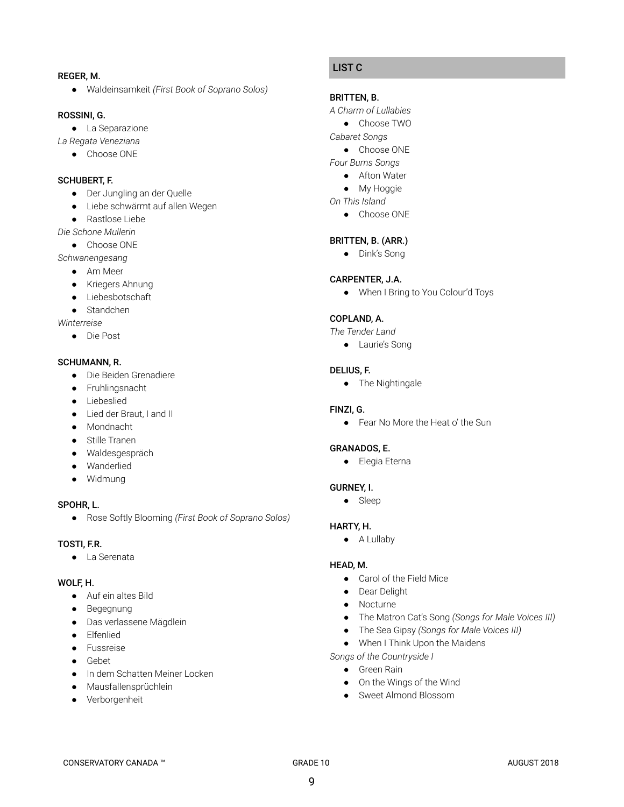#### REGER, M.

● Waldeinsamkeit *(First Book of Soprano Solos)*

#### ROSSINI, G.

● La Separazione

*La Regata Veneziana*

● Choose ONE

## SCHUBERT, F.

- Der Jungling an der Quelle
- Liebe schwärmt auf allen Wegen
- Rastlose Liebe
- *Die Schone Mullerin*
	- Choose ONE

*Schwanengesang*

- Am Meer
- Kriegers Ahnung
- Liebesbotschaft
- Standchen

*Winterreise*

● Die Post

#### SCHUMANN, R.

- Die Beiden Grenadiere
- Fruhlingsnacht
- Liebeslied
- Lied der Braut, I and II
- Mondnacht
- Stille Tranen
- Waldesgespräch
- Wanderlied
- Widmung

#### SPOHR, L.

● Rose Softly Blooming *(First Book of Soprano Solos)*

#### TOSTI, F.R.

● La Serenata

## WOLF, H.

- Auf ein altes Bild
- Begegnung
- Das verlassene Mägdlein
- Elfenlied
- Fussreise
- Gebet
- In dem Schatten Meiner Locken
- Mausfallensprüchlein
- Verborgenheit

# LIST C

#### BRITTEN, B.

- *A Charm of Lullabies*
	- Choose TWO
- *Cabaret Songs*
	- Choose ONE
- *Four Burns Songs*
	- Afton Water
	- My Hoggie
- *On This Island*
	- Choose ONE

## BRITTEN, B. (ARR.)

● Dink's Song

#### CARPENTER, J.A.

● When I Bring to You Colour'd Toys

#### COPLAND, A.

*The Tender Land*

● Laurie's Song

#### DELIUS, F.

● The Nightingale

#### FINZI, G.

● Fear No More the Heat o' the Sun

#### GRANADOS, E.

● Elegia Eterna

#### GURNEY, I.

● Sleep

#### HARTY, H.

● A Lullaby

#### HEAD, M.

- Carol of the Field Mice
- Dear Delight
- Nocturne
- The Matron Cat's Song *(Songs for Male Voices III)*
- The Sea Gipsy *(Songs for Male Voices III)*
- When I Think Upon the Maidens
- *Songs of the Countryside I*
	- Green Rain
	- On the Wings of the Wind
	- Sweet Almond Blossom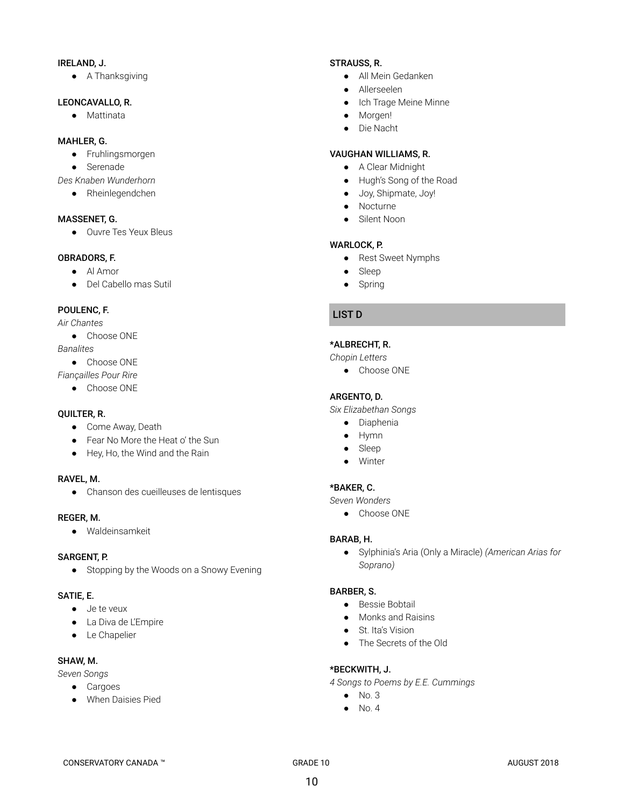#### IRELAND, J.

● A Thanksgiving

## LEONCAVALLO, R.

● Mattinata

# MAHLER, G.

- Fruhlingsmorgen
- Serenade
- *Des Knaben Wunderhorn*
	- Rheinlegendchen

#### MASSENET, G.

● Ouvre Tes Yeux Bleus

## OBRADORS, F.

- Al Amor
- Del Cabello mas Sutil

# POULENC, F.

#### *Air Chantes*

- Choose ONE
- *Banalites*
	- Choose ONE

*Fiançailles Pour Rire*

● Choose ONE

#### QUILTER, R.

- Come Away, Death
- Fear No More the Heat o' the Sun
- Hey, Ho, the Wind and the Rain

#### RAVEL, M.

● Chanson des cueilleuses de lentisques

#### REGER, M.

● Waldeinsamkeit

#### SARGENT, P.

● Stopping by the Woods on a Snowy Evening

#### SATIE, E.

- Je te veux
- La Diva de L'Empire
- Le Chapelier

## SHAW, M.

*Seven Songs*

- Cargoes
- When Daisies Pied

#### STRAUSS, R.

- All Mein Gedanken
- Allerseelen
- Ich Trage Meine Minne
- Morgen!
- Die Nacht

## VAUGHAN WILLIAMS, R.

- A Clear Midnight
- Hugh's Song of the Road
- Joy, Shipmate, Joy!
- Nocturne
- Silent Noon

#### WARLOCK, P.

- Rest Sweet Nymphs
- Sleep
- Spring

# LIST D

## \*ALBRECHT, R.

*Chopin Letters*

● Choose ONE

#### ARGENTO, D.

*Six Elizabethan Songs*

- Diaphenia
- Hymn
- Sleep
- Winter

# \*BAKER, C.

*Seven Wonders*

● Choose ONE

## BARAB, H.

● Sylphinia's Aria (Only a Miracle) *(American Arias for Soprano)*

## BARBER, S.

- Bessie Bobtail
- Monks and Raisins
- St. Ita's Vision
- The Secrets of the Old

#### \*BECKWITH, J.

*4 Songs to Poems by E.E. Cummings*

- No. 3
- $\bullet$  No. 4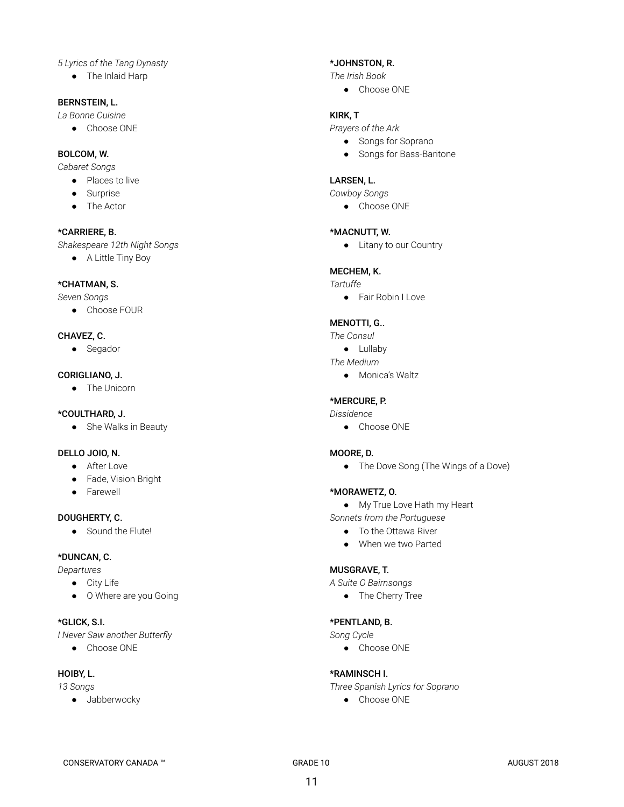## *5 Lyrics of the Tang Dynasty*

● The Inlaid Harp

#### BERNSTEIN, L.

- *La Bonne Cuisine*
	- Choose ONE

## BOLCOM, W.

*Cabaret Songs*

- Places to live
- Surprise
- The Actor

#### \*CARRIERE, B.

*Shakespeare 12th Night Songs*

● A Little Tiny Boy

#### \*CHATMAN, S.

*Seven Songs*

● Choose FOUR

#### CHAVEZ, C.

● Segador

#### CORIGLIANO, J.

● The Unicorn

## \*COULTHARD, J.

● She Walks in Beauty

## DELLO JOIO, N.

- After Love
- Fade, Vision Bright
- Farewell

# DOUGHERTY, C.

● Sound the Flute!

#### \*DUNCAN, C.

*Departures*

- City Life
- O Where are you Going

# \*GLICK, S.I.

- *I Never Saw another Butterfly*
	- Choose ONE

# HOIBY, L.

# *13 Songs*

● Jabberwocky

## \*JOHNSTON, R.

*The Irish Book*

● Choose ONE

#### KIRK, T

*Prayers of the Ark*

- Songs for Soprano
- Songs for Bass-Baritone

#### LARSEN, L.

*Cowboy Songs*

● Choose ONE

#### \*MACNUTT, W.

● Litany to our Country

## MECHEM, K.

#### *Tartuffe*

● Fair Robin I Love

# MENOTTI, G..

- *The Consul*
- Lullaby
- *The Medium*
	- Monica's Waltz

#### \*MERCURE, P.

*Dissidence*

● Choose ONE

#### MOORE, D.

• The Dove Song (The Wings of a Dove)

#### \*MORAWETZ, O.

- My True Love Hath my Heart
- *Sonnets from the Portuguese*
	- To the Ottawa River
	- When we two Parted

#### MUSGRAVE, T.

*A Suite O Bairnsongs*

● The Cherry Tree

#### \*PENTLAND, B.

#### *Song Cycle*

● Choose ONE

## \*RAMINSCH I.

*Three Spanish Lyrics for Soprano*

● Choose ONE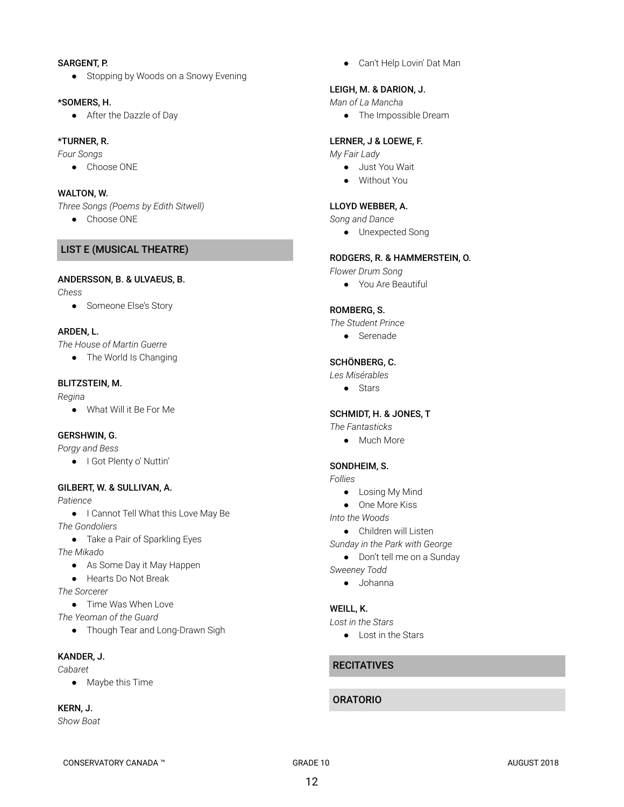#### SARGENT, P.

● Stopping by Woods on a Snowy Evening

#### \*SOMERS, H.

● After the Dazzle of Day

#### \*TURNER, R.

*Four Songs*

● Choose ONE

#### WALTON, W.

*Three Songs (Poems by Edith Sitwell)*

● Choose ONE

## LIST E (MUSICAL THEATRE)

#### ANDERSSON, B. & ULVAEUS, B.

*Chess*

● Someone Else's Story

#### ARDEN, L.

*The House of Martin Guerre*

• The World Is Changing

#### BLITZSTEIN, M.

*Regina*

● What Will it Be For Me

#### GERSHWIN, G.

*Porgy and Bess*

● I Got Plenty o' Nuttin'

#### GILBERT, W. & SULLIVAN, A.

*Patience*

● I Cannot Tell What this Love May Be *The Gondoliers*

● Take a Pair of Sparkling Eyes

*The Mikado*

- As Some Day it May Happen
- Hearts Do Not Break

*The Sorcerer*

- Time Was When Love
- *The Yeoman of the Guard*
	- Though Tear and Long-Drawn Sigh

## KANDER, J.

*Cabaret*

● Maybe this Time

#### KERN, J.

*Show Boat*

● Can't Help Lovin' Dat Man

## LEIGH, M. & DARION, J.

*Man of La Mancha*

● The Impossible Dream

#### LERNER, J & LOEWE, F.

*My Fair Lady*

- Just You Wait
- Without You

## LLOYD WEBBER, A.

*Song and Dance*

● Unexpected Song

#### RODGERS, R. & HAMMERSTEIN, O.

*Flower Drum Song*

● You Are Beautiful

## ROMBERG, S.

*The Student Prince*

● Serenade

#### SCHÖNBERG, C.

*Les Misérables*

● Stars

#### SCHMIDT, H. & JONES, T

*The Fantasticks*

● Much More

#### SONDHEIM, S.

*Follies*

- Losing My Mind
- One More Kiss
- *Into the Woods*
- Children will Listen

*Sunday in the Park with George*

- Don't tell me on a Sunday
- *Sweeney Todd*
	- Johanna

#### WEILL, K.

- *Lost in the Stars*
	- Lost in the Stars

# **RECITATIVES**

## ORATORIO

CONSERVATORY CANADA ™ GRADE 10 GRADE 10 GRADE 10 AUGUST 2018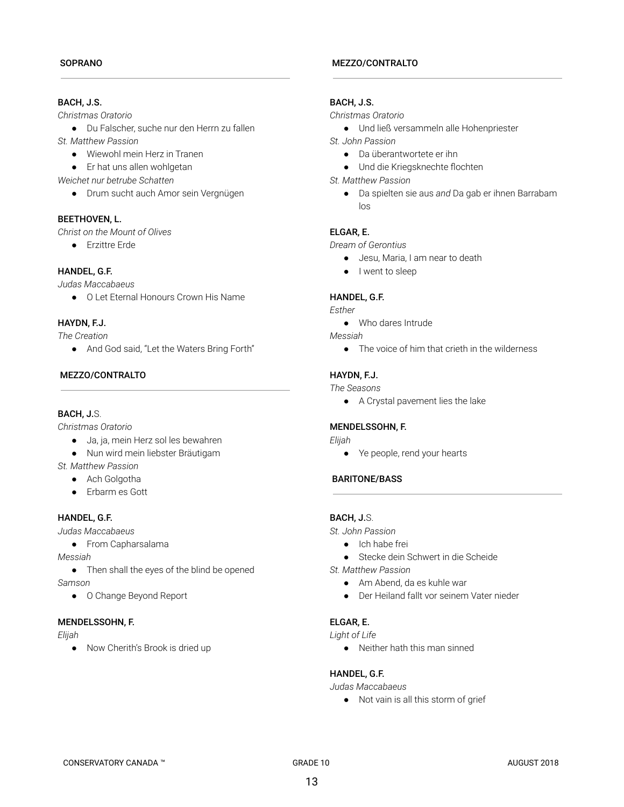# BACH, J.S.

*Christmas Oratorio*

● Du Falscher, suche nur den Herrn zu fallen *St. Matthew Passion*

- Wiewohl mein Herz in Tranen
- Er hat uns allen wohlgetan

*Weichet nur betrube Schatten*

● Drum sucht auch Amor sein Vergnügen

## BEETHOVEN, L.

*Christ on the Mount of Olives*

● Erzittre Erde

## HANDEL, G.F.

*Judas Maccabaeus*

● O Let Eternal Honours Crown His Name

## HAYDN, F.J.

*The Creation*

● And God said, "Let the Waters Bring Forth"

## MEZZO/CONTRALTO

## BACH, J.S.

*Christmas Oratorio*

- Ja, ja, mein Herz sol les bewahren
- Nun wird mein liebster Bräutigam
- *St. Matthew Passion*
	- Ach Golgotha
	- Erbarm es Gott

# HANDEL, G.F.

*Judas Maccabaeus*

● From Capharsalama

*Messiah*

• Then shall the eyes of the blind be opened *Samson*

● O Change Beyond Report

#### MENDELSSOHN, F.

*Elijah*

● Now Cherith's Brook is dried up

#### MEZZO/CONTRALTO

## BACH, J.S.

#### *Christmas Oratorio*

- Und ließ versammeln alle Hohenpriester
- *St. John Passion*
	- Da überantwortete er ihn
	- Und die Kriegsknechte flochten
- *St. Matthew Passion*
	- Da spielten sie aus *and* Da gab er ihnen Barrabam  $\log$

## ELGAR, E.

*Dream of Gerontius*

- Jesu, Maria, I am near to death
- I went to sleep

## HANDEL, G.F.

*Esther*

● Who dares Intrude

*Messiah*

● The voice of him that crieth in the wilderness

# HAYDN, F.J.

## *The Seasons*

● A Crystal pavement lies the lake

## MENDELSSOHN, F.

#### *Elijah*

● Ye people, rend your hearts

#### BARITONE/BASS

# BACH, J.S.

*St. John Passion*

- Ich habe frei
- Stecke dein Schwert in die Scheide

*St. Matthew Passion*

- Am Abend, da es kuhle war
- Der Heiland fallt vor seinem Vater nieder

# ELGAR, E.

*Light of Life*

● Neither hath this man sinned

## HANDEL, G.F.

*Judas Maccabaeus*

● Not vain is all this storm of grief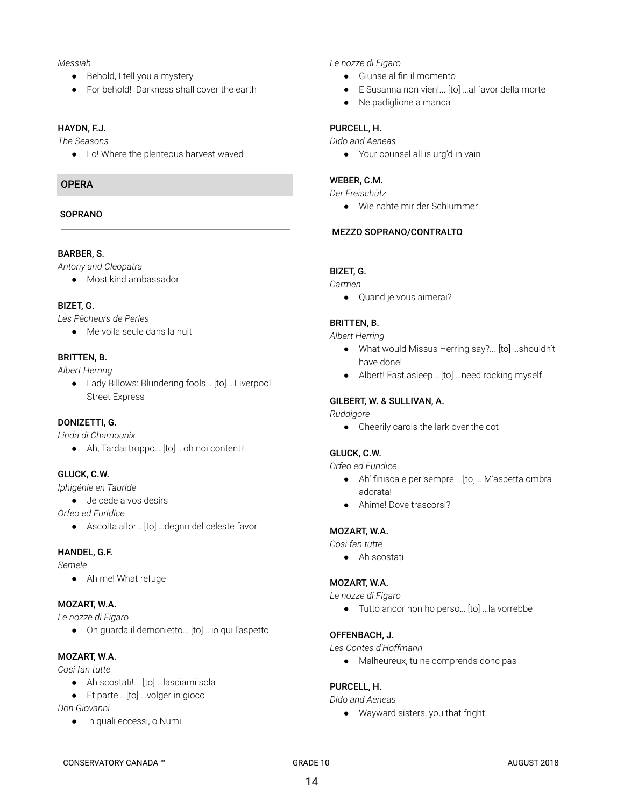#### *Messiah*

- Behold, I tell you a mystery
- For behold! Darkness shall cover the earth

#### HAYDN, F.J.

*The Seasons*

● Lo! Where the plenteous harvest waved

## **OPFRA**

#### **SOPRANO**

#### BARBER, S.

*Antony and Cleopatra*

● Most kind ambassador

#### BIZET, G.

*Les Pêcheurs de Perles*

● Me voila seule dans la nuit

#### BRITTEN, B.

*Albert Herring*

● Lady Billows: Blundering fools... [to] ...Liverpool Street Express

#### DONIZETTI, G.

*Linda di Chamounix*

● Ah, Tardai troppo… [to] …oh noi contenti!

#### GLUCK, C.W.

*Iphigénie en Tauride*

● Je cede a vos desirs

*Orfeo ed Euridice*

● Ascolta allor… [to] …degno del celeste favor

#### HANDEL, G.F.

*Semele*

● Ah me! What refuge

#### MOZART, W.A.

*Le nozze di Figaro*

● Oh guarda il demonietto… [to] …io qui l'aspetto

# MOZART, W.A.

*Cosi fan tutte*

- Ah scostati!... [to] …lasciami sola
- Et parte... [to] ...volger in gioco

*Don Giovanni*

● In quali eccessi, o Numi

#### *Le nozze di Figaro*

- Giunse al fin il momento
- E Susanna non vien!... [to] …al favor della morte
- Ne padiglione a manca

#### PURCELL, H.

*Dido and Aeneas*

● Your counsel all is urg'd in vain

#### WEBER, C.M.

*Der Freischütz*

● Wie nahte mir der Schlummer

#### MEZZO SOPRANO/CONTRALTO

## BIZET, G.

*Carmen*

● Quand je vous aimerai?

#### BRITTEN, B.

*Albert Herring*

- What would Missus Herring say?... [to] …shouldn't have done!
- Albert! Fast asleep… [to] …need rocking myself

#### GILBERT, W. & SULLIVAN, A.

*Ruddigore*

● Cheerily carols the lark over the cot

#### GLUCK, C.W.

*Orfeo ed Euridice*

- Ah' finisca e per sempre ...[to] ...M'aspetta ombra adorata!
- Ahime! Dove trascorsi?

#### MOZART, W.A.

*Cosi fan tutte*

● Ah scostati

#### MOZART, W.A.

*Le nozze di Figaro*

● Tutto ancor non ho perso... [to] ...la vorrebbe

#### OFFENBACH, J.

*Les Contes d'Hoffmann*

● Malheureux, tu ne comprends donc pas

#### PURCELL, H.

*Dido and Aeneas*

● Wayward sisters, you that fright